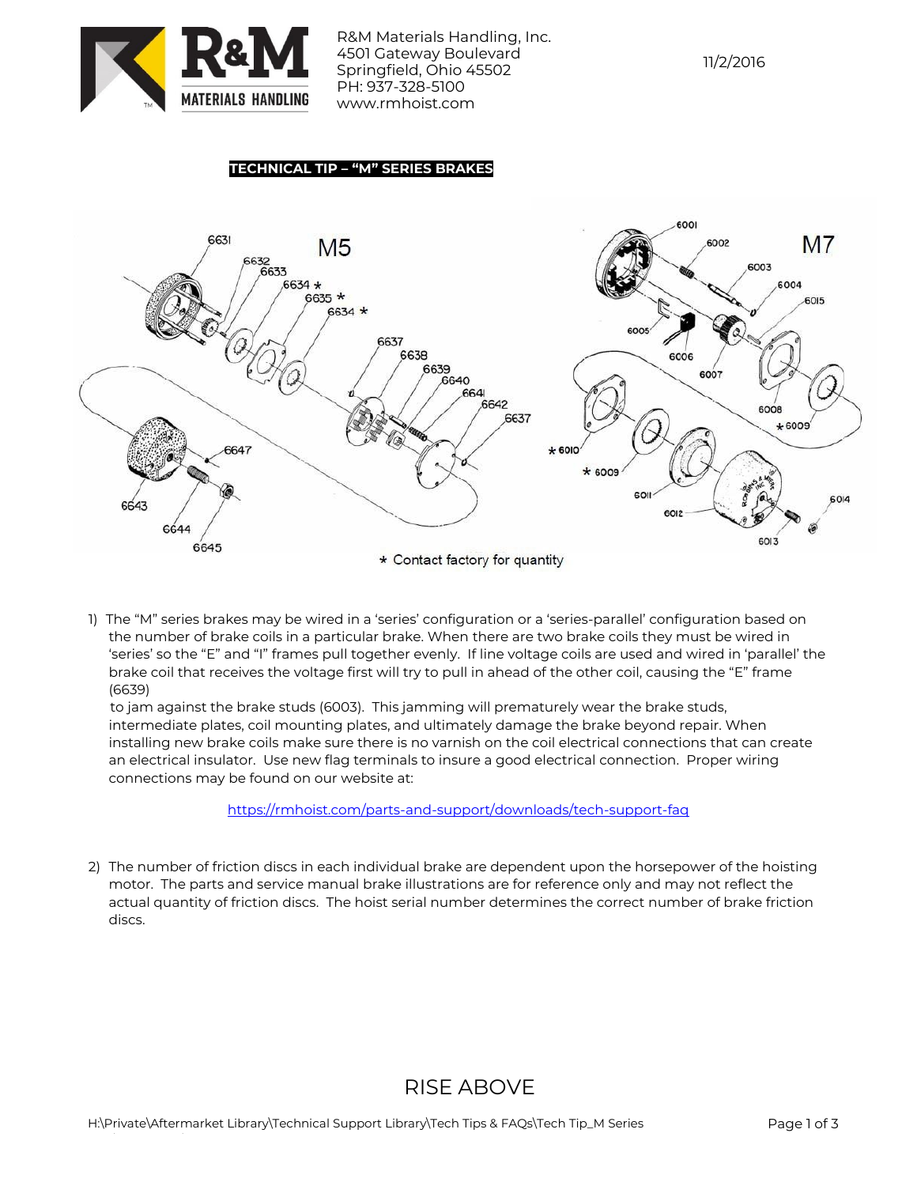

R&M Materials Handling, Inc. 4501 Gateway Boulevard Springfield, Ohio 45502 PH: 937-328-5100 www.rmhoist.com

## 11/2/2016

### **TECHNICAL TIP – "M" SERIES BRAKES**



1) The "M" series brakes may be wired in a 'series' configuration or a 'series-parallel' configuration based on the number of brake coils in a particular brake. When there are two brake coils they must be wired in 'series' so the "E" and "I" frames pull together evenly. If line voltage coils are used and wired in 'parallel' the brake coil that receives the voltage first will try to pull in ahead of the other coil, causing the "E" frame (6639)

 to jam against the brake studs (6003). This jamming will prematurely wear the brake studs, intermediate plates, coil mounting plates, and ultimately damage the brake beyond repair. When installing new brake coils make sure there is no varnish on the coil electrical connections that can create an electrical insulator. Use new flag terminals to insure a good electrical connection. Proper wiring connections may be found on our website at:

#### <https://rmhoist.com/parts-and-support/downloads/tech-support-faq>

2) The number of friction discs in each individual brake are dependent upon the horsepower of the hoisting motor. The parts and service manual brake illustrations are for reference only and may not reflect the actual quantity of friction discs. The hoist serial number determines the correct number of brake friction discs.

# RISE ABOVE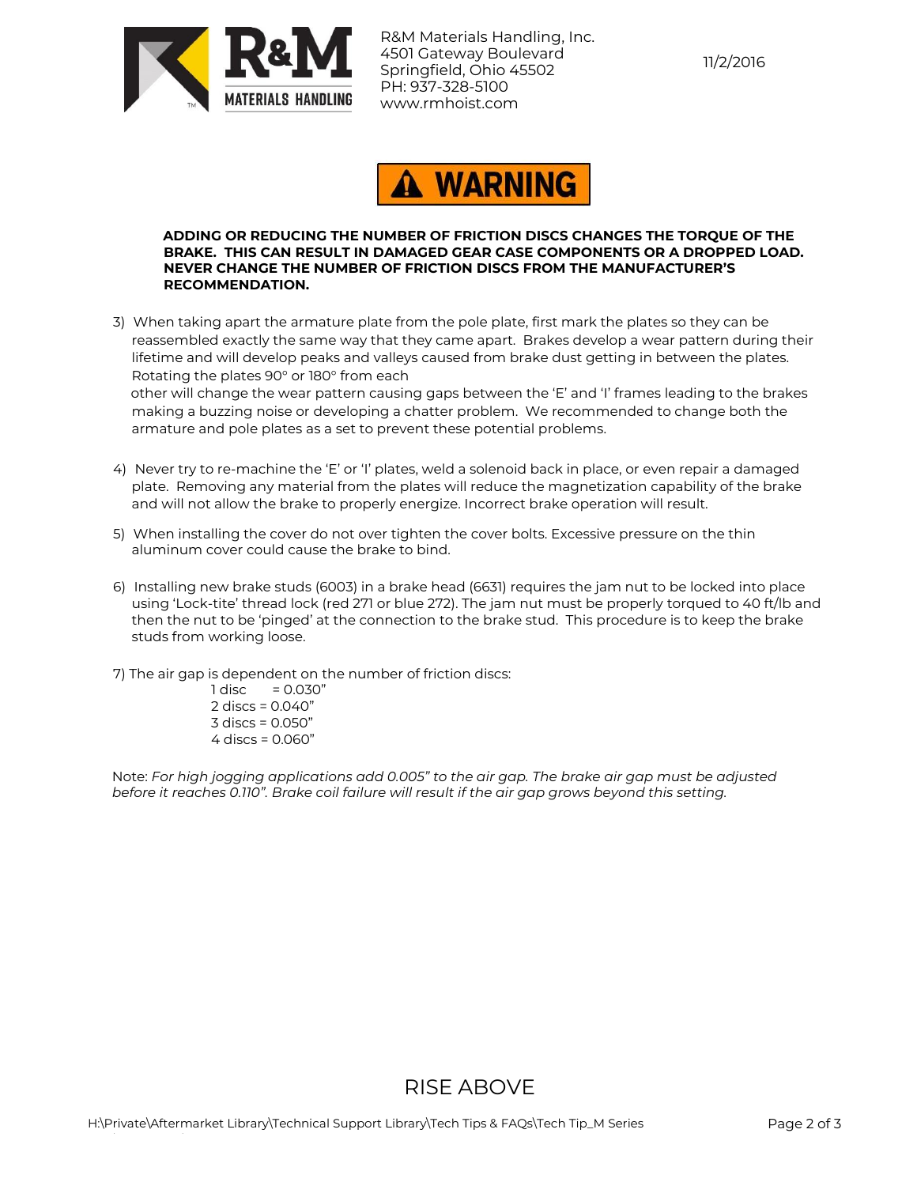

R&M Materials Handling, Inc. 4501 Gateway Boulevard Springfield, Ohio 45502 PH: 937-328-5100 www.rmhoist.com



#### **ADDING OR REDUCING THE NUMBER OF FRICTION DISCS CHANGES THE TORQUE OF THE BRAKE. THIS CAN RESULT IN DAMAGED GEAR CASE COMPONENTS OR A DROPPED LOAD. NEVER CHANGE THE NUMBER OF FRICTION DISCS FROM THE MANUFACTURER'S RECOMMENDATION.**

3) When taking apart the armature plate from the pole plate, first mark the plates so they can be reassembled exactly the same way that they came apart. Brakes develop a wear pattern during their lifetime and will develop peaks and valleys caused from brake dust getting in between the plates. Rotating the plates 90° or 180° from each

 other will change the wear pattern causing gaps between the 'E' and 'I' frames leading to the brakes making a buzzing noise or developing a chatter problem. We recommended to change both the armature and pole plates as a set to prevent these potential problems.

- 4) Never try to re-machine the 'E' or 'I' plates, weld a solenoid back in place, or even repair a damaged plate. Removing any material from the plates will reduce the magnetization capability of the brake and will not allow the brake to properly energize. Incorrect brake operation will result.
- 5) When installing the cover do not over tighten the cover bolts. Excessive pressure on the thin aluminum cover could cause the brake to bind.
- 6) Installing new brake studs (6003) in a brake head (6631) requires the jam nut to be locked into place using 'Lock-tite' thread lock (red 271 or blue 272). The jam nut must be properly torqued to 40 ft/lb and then the nut to be 'pinged' at the connection to the brake stud. This procedure is to keep the brake studs from working loose.
- 7) The air gap is dependent on the number of friction discs:
	- $1 \text{ disc} = 0.030"$ 2 discs = 0.040" 3 discs = 0.050" 4 discs = 0.060"

Note: *For high jogging applications add 0.005" to the air gap. The brake air gap must be adjusted before it reaches 0.110". Brake coil failure will result if the air gap grows beyond this setting.*